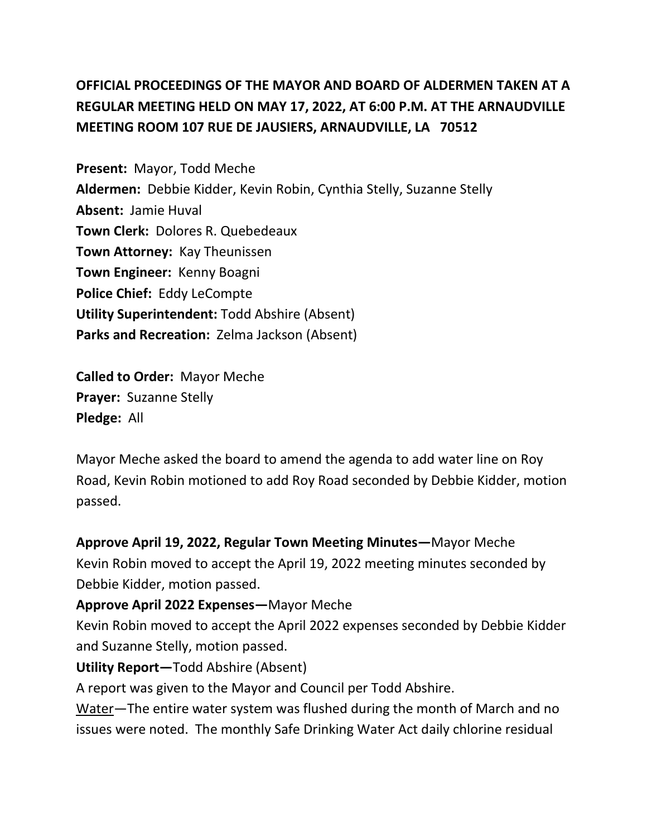# **OFFICIAL PROCEEDINGS OF THE MAYOR AND BOARD OF ALDERMEN TAKEN AT A REGULAR MEETING HELD ON MAY 17, 2022, AT 6:00 P.M. AT THE ARNAUDVILLE MEETING ROOM 107 RUE DE JAUSIERS, ARNAUDVILLE, LA 70512**

**Present:** Mayor, Todd Meche **Aldermen:** Debbie Kidder, Kevin Robin, Cynthia Stelly, Suzanne Stelly **Absent:** Jamie Huval **Town Clerk:** Dolores R. Quebedeaux **Town Attorney:** Kay Theunissen **Town Engineer:** Kenny Boagni **Police Chief:** Eddy LeCompte **Utility Superintendent:** Todd Abshire (Absent) **Parks and Recreation:** Zelma Jackson (Absent)

**Called to Order:** Mayor Meche **Prayer:** Suzanne Stelly **Pledge:** All

Mayor Meche asked the board to amend the agenda to add water line on Roy Road, Kevin Robin motioned to add Roy Road seconded by Debbie Kidder, motion passed.

**Approve April 19, 2022, Regular Town Meeting Minutes—**Mayor Meche Kevin Robin moved to accept the April 19, 2022 meeting minutes seconded by Debbie Kidder, motion passed. **Approve April 2022 Expenses—**Mayor Meche

Kevin Robin moved to accept the April 2022 expenses seconded by Debbie Kidder and Suzanne Stelly, motion passed.

**Utility Report—**Todd Abshire (Absent)

A report was given to the Mayor and Council per Todd Abshire.

Water—The entire water system was flushed during the month of March and no issues were noted. The monthly Safe Drinking Water Act daily chlorine residual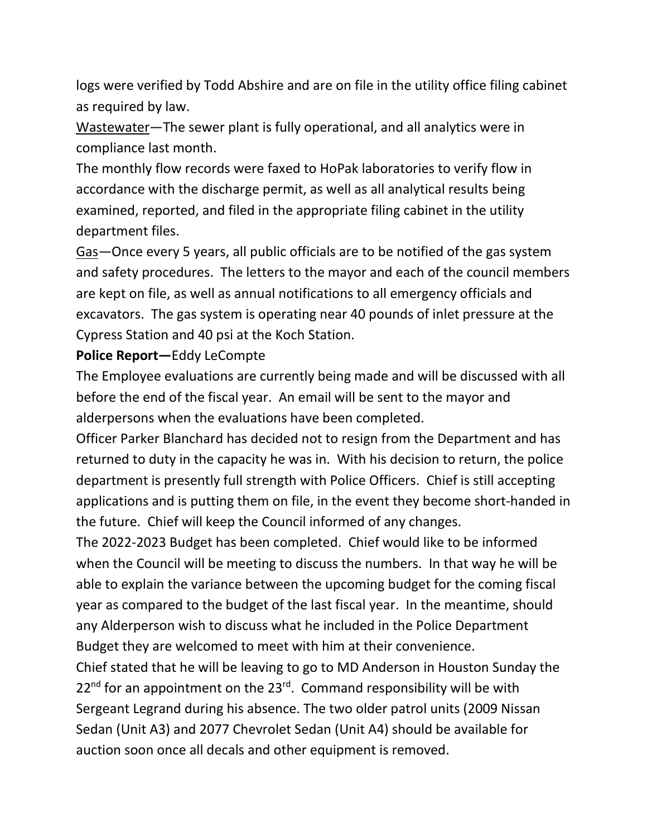logs were verified by Todd Abshire and are on file in the utility office filing cabinet as required by law.

Wastewater—The sewer plant is fully operational, and all analytics were in compliance last month.

The monthly flow records were faxed to HoPak laboratories to verify flow in accordance with the discharge permit, as well as all analytical results being examined, reported, and filed in the appropriate filing cabinet in the utility department files.

Gas—Once every 5 years, all public officials are to be notified of the gas system and safety procedures. The letters to the mayor and each of the council members are kept on file, as well as annual notifications to all emergency officials and excavators. The gas system is operating near 40 pounds of inlet pressure at the Cypress Station and 40 psi at the Koch Station.

#### **Police Report—**Eddy LeCompte

The Employee evaluations are currently being made and will be discussed with all before the end of the fiscal year. An email will be sent to the mayor and alderpersons when the evaluations have been completed.

Officer Parker Blanchard has decided not to resign from the Department and has returned to duty in the capacity he was in. With his decision to return, the police department is presently full strength with Police Officers. Chief is still accepting applications and is putting them on file, in the event they become short-handed in the future. Chief will keep the Council informed of any changes.

The 2022-2023 Budget has been completed. Chief would like to be informed when the Council will be meeting to discuss the numbers. In that way he will be able to explain the variance between the upcoming budget for the coming fiscal year as compared to the budget of the last fiscal year. In the meantime, should any Alderperson wish to discuss what he included in the Police Department Budget they are welcomed to meet with him at their convenience.

Chief stated that he will be leaving to go to MD Anderson in Houston Sunday the  $22<sup>nd</sup>$  for an appointment on the  $23<sup>rd</sup>$ . Command responsibility will be with Sergeant Legrand during his absence. The two older patrol units (2009 Nissan Sedan (Unit A3) and 2077 Chevrolet Sedan (Unit A4) should be available for auction soon once all decals and other equipment is removed.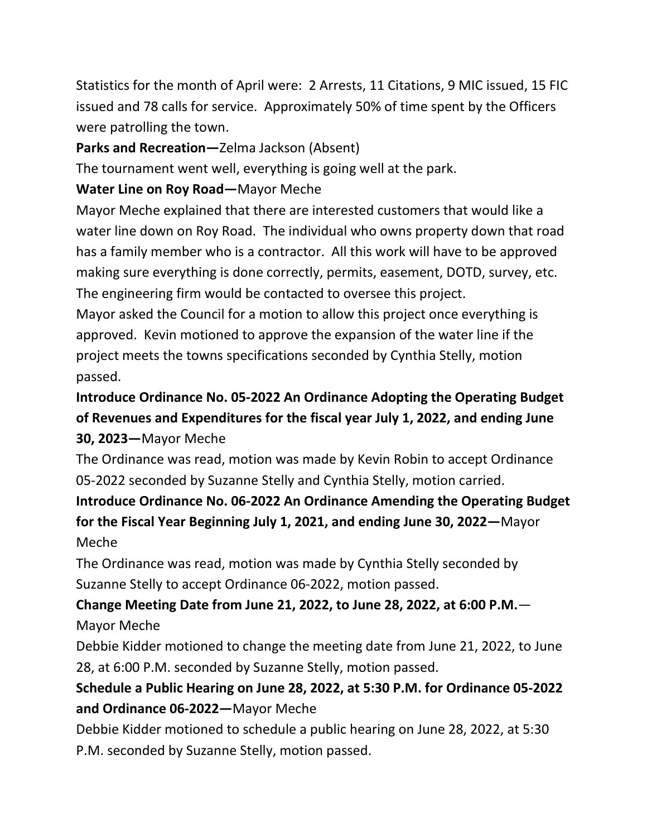Statistics for the month of April were: 2 Arrests, 11 Citations, 9 MIC issued, 15 FIC issued and 78 calls for service. Approximately 50% of time spent by the Officers were patrolling the town.

#### **Parks and Recreation—**Zelma Jackson (Absent)

The tournament went well, everything is going well at the park.

#### **Water Line on Roy Road—**Mayor Meche

Mayor Meche explained that there are interested customers that would like a water line down on Roy Road. The individual who owns property down that road has a family member who is a contractor. All this work will have to be approved making sure everything is done correctly, permits, easement, DOTD, survey, etc. The engineering firm would be contacted to oversee this project.

Mayor asked the Council for a motion to allow this project once everything is approved. Kevin motioned to approve the expansion of the water line if the project meets the towns specifications seconded by Cynthia Stelly, motion passed.

**Introduce Ordinance No. 05-2022 An Ordinance Adopting the Operating Budget of Revenues and Expenditures for the fiscal year July 1, 2022, and ending June 30, 2023—**Mayor Meche

The Ordinance was read, motion was made by Kevin Robin to accept Ordinance 05-2022 seconded by Suzanne Stelly and Cynthia Stelly, motion carried.

**Introduce Ordinance No. 06-2022 An Ordinance Amending the Operating Budget for the Fiscal Year Beginning July 1, 2021, and ending June 30, 2022—**Mayor Meche

The Ordinance was read, motion was made by Cynthia Stelly seconded by Suzanne Stelly to accept Ordinance 06-2022, motion passed.

### **Change Meeting Date from June 21, 2022, to June 28, 2022, at 6:00 P.M.**— Mayor Meche

Debbie Kidder motioned to change the meeting date from June 21, 2022, to June 28, at 6:00 P.M. seconded by Suzanne Stelly, motion passed.

### **Schedule a Public Hearing on June 28, 2022, at 5:30 P.M. for Ordinance 05-2022 and Ordinance 06-2022—**Mayor Meche

Debbie Kidder motioned to schedule a public hearing on June 28, 2022, at 5:30 P.M. seconded by Suzanne Stelly, motion passed.